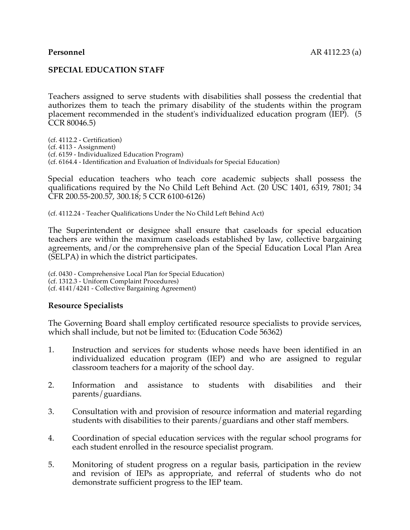## **SPECIAL EDUCATION STAFF**

Teachers assigned to serve students with disabilities shall possess the credential that authorizes them to teach the primary disability of the students within the program placement recommended in the student's individualized education program (IEP). (5 CCR 80046.5)

(cf. 4112.2 - Certification) (cf. 4113 - Assignment) (cf. 6159 - Individualized Education Program) (cf. 6164.4 - Identification and Evaluation of Individuals for Special Education)

Special education teachers who teach core academic subjects shall possess the qualifications required by the No Child Left Behind Act. (20 USC 1401, 6319, 7801; 34 CFR 200.55-200.57, 300.18; 5 CCR 6100-6126)

(cf. 4112.24 - Teacher Qualifications Under the No Child Left Behind Act)

The Superintendent or designee shall ensure that caseloads for special education teachers are within the maximum caseloads established by law, collective bargaining agreements, and/or the comprehensive plan of the Special Education Local Plan Area (SELPA) in which the district participates.

(cf. 0430 - Comprehensive Local Plan for Special Education) (cf. 1312.3 - Uniform Complaint Procedures) (cf. 4141/4241 - Collective Bargaining Agreement)

#### **Resource Specialists**

The Governing Board shall employ certificated resource specialists to provide services, which shall include, but not be limited to: (Education Code 56362)

- 1. Instruction and services for students whose needs have been identified in an individualized education program (IEP) and who are assigned to regular classroom teachers for a majority of the school day.
- 2. Information and assistance to students with disabilities and their parents/guardians.
- 3. Consultation with and provision of resource information and material regarding students with disabilities to their parents/guardians and other staff members.
- 4. Coordination of special education services with the regular school programs for each student enrolled in the resource specialist program.
- 5. Monitoring of student progress on a regular basis, participation in the review and revision of IEPs as appropriate, and referral of students who do not demonstrate sufficient progress to the IEP team.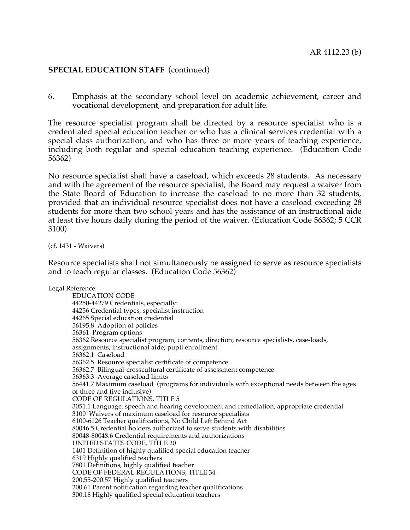### **SPECIAL EDUCATION STAFF** (continued)

6. Emphasis at the secondary school level on academic achievement, career and vocational development, and preparation for adult life.

The resource specialist program shall be directed by a resource specialist who is a credentialed special education teacher or who has a clinical services credential with a special class authorization, and who has three or more years of teaching experience, including both regular and special education teaching experience. (Education Code 56362)

No resource specialist shall have a caseload, which exceeds 28 students. As necessary and with the agreement of the resource specialist, the Board may request a waiver from the State Board of Education to increase the caseload to no more than 32 students, provided that an individual resource specialist does not have a caseload exceeding 28 students for more than two school years and has the assistance of an instructional aide at least five hours daily during the period of the waiver. (Education Code 56362; 5 CCR 3100)

(cf. 1431 - Waivers)

Resource specialists shall not simultaneously be assigned to serve as resource specialists and to teach regular classes. (Education Code 56362)

Legal Reference: EDUCATION CODE 44250-44279 Credentials, especially: 44256 Credential types, specialist instruction 44265 Special education credential 56195.8 Adoption of policies 56361 Program options 56362 Resource specialist program, contents, direction; resource specialists, case-loads, assignments, instructional aide; pupil enrollment 56362.1 Caseload 56362.5 Resource specialist certificate of competence 56362.7 Bilingual-crosscultural certificate of assessment competence 56363.3 Average caseload limits 56441.7 Maximum caseload (programs for individuals with exceptional needs between the ages of three and five inclusive) CODE OF REGULATIONS, TITLE 5 3051.1 Language, speech and hearing development and remediation; appropriate credential 3100 Waivers of maximum caseload for resource specialists 6100-6126 Teacher qualifications, No Child Left Behind Act 80046.5 Credential holders authorized to serve students with disabilities 80048-80048.6 Credential requirements and authorizations UNITED STATES CODE, TITLE 20 1401 Definition of highly qualified special education teacher 6319 Highly qualified teachers 7801 Definitions, highly qualified teacher CODE OF FEDERAL REGULATIONS, TITLE 34 200.55-200.57 Highly qualified teachers 200.61 Parent notification regarding teacher qualifications 300.18 Highly qualified special education teachers